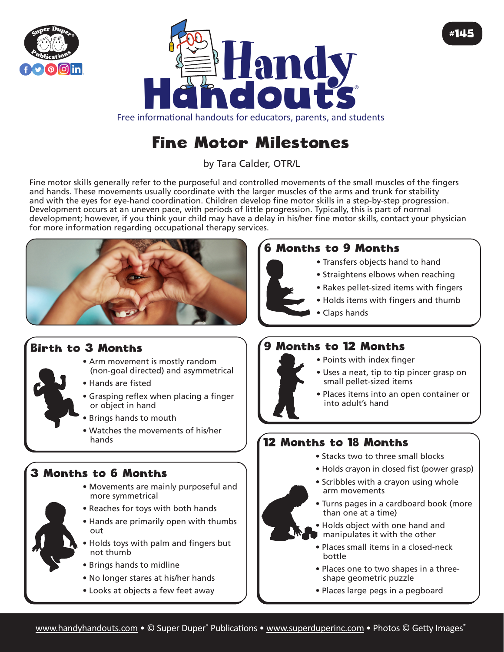



Free informational handouts for educators, parents, and students

# Fine Motor Milestones

by Tara Calder, OTR/L

Fine motor skills generally refer to the purposeful and controlled movements of the small muscles of the fingers and hands. These movements usually coordinate with the larger muscles of the arms and trunk for stability and with the eyes for eye-hand coordination. Children develop fine motor skills in a step-by-step progression. Development occurs at an uneven pace, with periods of little progression. Typically, this is part of normal development; however, if you think your child may have a delay in his/her fine motor skills, contact your physician for more information regarding occupational therapy services.



# Birth to 3 Months

- Arm movement is mostly random (non-goal directed) and asymmetrical
- Hands are fisted
- Grasping reflex when placing a finger or object in hand
- Brings hands to mouth
- Watches the movements of his/her hands

#### 3 Months to 6 Months

- Movements are mainly purposeful and more symmetrical
- Reaches for toys with both hands
- Hands are primarily open with thumbs out
- Holds toys with palm and fingers but not thumb
- Brings hands to midline
- No longer stares at his/her hands
- Looks at objects a few feet away

### 6 Months to 9 Months

- Transfers objects hand to hand
- Straightens elbows when reaching
- Rakes pellet-sized items with fingers
- Holds items with fingers and thumb
- Claps hands

#### 9 Months to 12 Months

- Points with index finger
- Uses a neat, tip to tip pincer grasp on small pellet-sized items
- Places items into an open container or into adult's hand

#### 12 Months to 18 Months

- Stacks two to three small blocks
- Holds crayon in closed fist (power grasp)
- Scribbles with a crayon using whole arm movements
- Turns pages in a cardboard book (more than one at a time)
- Holds object with one hand and manipulates it with the other
- Places small items in a closed-neck bottle
- Places one to two shapes in a threeshape geometric puzzle
- Places large pegs in a pegboard